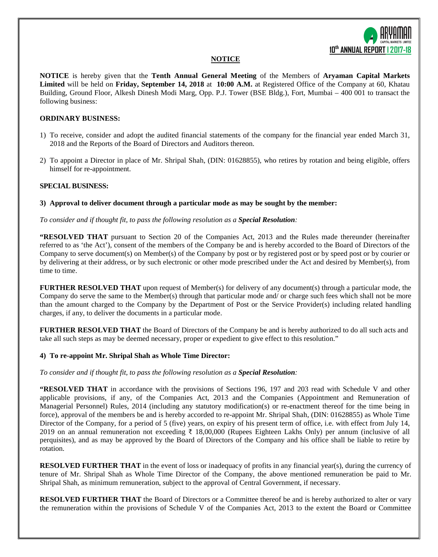

## **NOTICE**

**NOTICE** is hereby given that the **Tenth Annual General Meeting** of the Members of **Aryaman Capital Markets Limited** will be held on **Friday, September 14, 2018** at **10:00 A.M.** at Registered Office of the Company at 60, Khatau Building, Ground Floor, Alkesh Dinesh Modi Marg, Opp. P.J. Tower (BSE Bldg.), Fort, Mumbai – 400 001 to transact the following business:

## **ORDINARY BUSINESS:**

- 1) To receive, consider and adopt the audited financial statements of the company for the financial year ended March 31, 2018 and the Reports of the Board of Directors and Auditors thereon.
- 2) To appoint a Director in place of Mr. Shripal Shah, (DIN: 01628855), who retires by rotation and being eligible, offers himself for re-appointment.

#### **SPECIAL BUSINESS:**

## **3) Approval to deliver document through a particular mode as may be sought by the member:**

## *To consider and if thought fit, to pass the following resolution as a Special Resolution:*

**"RESOLVED THAT** pursuant to Section 20 of the Companies Act, 2013 and the Rules made thereunder (hereinafter referred to as 'the Act'), consent of the members of the Company be and is hereby accorded to the Board of Directors of the Company to serve document(s) on Member(s) of the Company by post or by registered post or by speed post or by courier or by delivering at their address, or by such electronic or other mode prescribed under the Act and desired by Member(s), from time to time.

**FURTHER RESOLVED THAT** upon request of Member(s) for delivery of any document(s) through a particular mode, the Company do serve the same to the Member(s) through that particular mode and/ or charge such fees which shall not be more than the amount charged to the Company by the Department of Post or the Service Provider(s) including related handling charges, if any, to deliver the documents in a particular mode.

**FURTHER RESOLVED THAT** the Board of Directors of the Company be and is hereby authorized to do all such acts and take all such steps as may be deemed necessary, proper or expedient to give effect to this resolution."

#### **4) To re-appoint Mr. Shripal Shah as Whole Time Director:**

#### *To consider and if thought fit, to pass the following resolution as a Special Resolution:*

**"RESOLVED THAT** in accordance with the provisions of Sections 196, 197 and 203 read with Schedule V and other applicable provisions, if any, of the Companies Act, 2013 and the Companies (Appointment and Remuneration of Managerial Personnel) Rules, 2014 (including any statutory modification(s) or re-enactment thereof for the time being in force), approval of the members be and is hereby accorded to re-appoint Mr. Shripal Shah, (DIN: 01628855) as Whole Time Director of the Company, for a period of 5 (five) years, on expiry of his present term of office, i.e. with effect from July 14, 2019 on an annual remuneration not exceeding ₹ 18,00,000 (Rupees Eighteen Lakhs Only) per annum (inclusive of all perquisites), and as may be approved by the Board of Directors of the Company and his office shall be liable to retire by rotation.

**RESOLVED FURTHER THAT** in the event of loss or inadequacy of profits in any financial year(s), during the currency of tenure of Mr. Shripal Shah as Whole Time Director of the Company, the above mentioned remuneration be paid to Mr. Shripal Shah, as minimum remuneration, subject to the approval of Central Government, if necessary.

**RESOLVED FURTHER THAT** the Board of Directors or a Committee thereof be and is hereby authorized to alter or vary the remuneration within the provisions of Schedule V of the Companies Act, 2013 to the extent the Board or Committee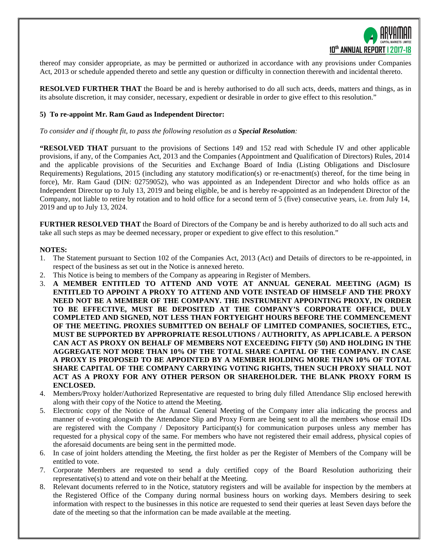

thereof may consider appropriate, as may be permitted or authorized in accordance with any provisions under Companies Act, 2013 or schedule appended thereto and settle any question or difficulty in connection therewith and incidental thereto.

**RESOLVED FURTHER THAT** the Board be and is hereby authorised to do all such acts, deeds, matters and things, as in its absolute discretion, it may consider, necessary, expedient or desirable in order to give effect to this resolution."

#### **5) To re-appoint Mr. Ram Gaud as Independent Director:**

*To consider and if thought fit, to pass the following resolution as a Special Resolution:*

**"RESOLVED THAT** pursuant to the provisions of Sections 149 and 152 read with Schedule IV and other applicable provisions, if any, of the Companies Act, 2013 and the Companies (Appointment and Qualification of Directors) Rules, 2014 and the applicable provisions of the Securities and Exchange Board of India (Listing Obligations and Disclosure Requirements) Regulations, 2015 (including any statutory modification(s) or re-enactment(s) thereof, for the time being in force), Mr. Ram Gaud (DIN: 02759052), who was appointed as an Independent Director and who holds office as an Independent Director up to July 13, 2019 and being eligible, be and is hereby re-appointed as an Independent Director of the Company, not liable to retire by rotation and to hold office for a second term of 5 (five) consecutive years, i.e. from July 14, 2019 and up to July 13, 2024.

**FURTHER RESOLVED THAT** the Board of Directors of the Company be and is hereby authorized to do all such acts and take all such steps as may be deemed necessary, proper or expedient to give effect to this resolution."

#### **NOTES:**

- 1. The Statement pursuant to Section 102 of the Companies Act, 2013 (Act) and Details of directors to be re-appointed, in respect of the business as set out in the Notice is annexed hereto.
- 2. This Notice is being to members of the Company as appearing in Register of Members.
- 3. **A MEMBER ENTITLED TO ATTEND AND VOTE AT ANNUAL GENERAL MEETING (AGM) IS ENTITLED TO APPOINT A PROXY TO ATTEND AND VOTE INSTEAD OF HIMSELF AND THE PROXY NEED NOT BE A MEMBER OF THE COMPANY. THE INSTRUMENT APPOINTING PROXY, IN ORDER TO BE EFFECTIVE, MUST BE DEPOSITED AT THE COMPANY'S CORPORATE OFFICE, DULY COMPLETED AND SIGNED, NOT LESS THAN FORTYEIGHT HOURS BEFORE THE COMMENCEMENT OF THE MEETING. PROXIES SUBMITTED ON BEHALF OF LIMITED COMPANIES, SOCIETIES, ETC., MUST BE SUPPORTED BY APPROPRIATE RESOLUTIONS / AUTHORITY, AS APPLICABLE. A PERSON CAN ACT AS PROXY ON BEHALF OF MEMBERS NOT EXCEEDING FIFTY (50) AND HOLDING IN THE AGGREGATE NOT MORE THAN 10% OF THE TOTAL SHARE CAPITAL OF THE COMPANY. IN CASE A PROXY IS PROPOSED TO BE APPOINTED BY A MEMBER HOLDING MORE THAN 10% OF TOTAL SHARE CAPITAL OF THE COMPANY CARRYING VOTING RIGHTS, THEN SUCH PROXY SHALL NOT ACT AS A PROXY FOR ANY OTHER PERSON OR SHAREHOLDER. THE BLANK PROXY FORM IS ENCLOSED.**
- 4. Members/Proxy holder/Authorized Representative are requested to bring duly filled Attendance Slip enclosed herewith along with their copy of the Notice to attend the Meeting.
- 5. Electronic copy of the Notice of the Annual General Meeting of the Company inter alia indicating the process and manner of e-voting alongwith the Attendance Slip and Proxy Form are being sent to all the members whose email IDs are registered with the Company / Depository Participant(s) for communication purposes unless any member has requested for a physical copy of the same. For members who have not registered their email address, physical copies of the aforesaid documents are being sent in the permitted mode.
- 6. In case of joint holders attending the Meeting, the first holder as per the Register of Members of the Company will be entitled to vote.
- 7. Corporate Members are requested to send a duly certified copy of the Board Resolution authorizing their representative(s) to attend and vote on their behalf at the Meeting.
- 8. Relevant documents referred to in the Notice, statutory registers and will be available for inspection by the members at the Registered Office of the Company during normal business hours on working days. Members desiring to seek information with respect to the businesses in this notice are requested to send their queries at least Seven days before the date of the meeting so that the information can be made available at the meeting.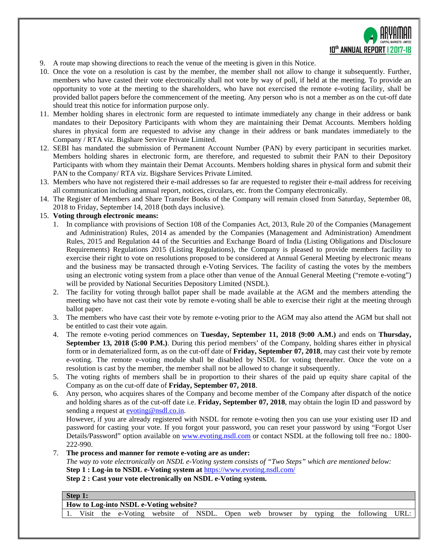

- 9. A route map showing directions to reach the venue of the meeting is given in this Notice.
- 10. Once the vote on a resolution is cast by the member, the member shall not allow to change it subsequently. Further, members who have casted their vote electronically shall not vote by way of poll, if held at the meeting. To provide an opportunity to vote at the meeting to the shareholders, who have not exercised the remote e-voting facility, shall be provided ballot papers before the commencement of the meeting. Any person who is not a member as on the cut-off date should treat this notice for information purpose only.
- 11. Member holding shares in electronic form are requested to intimate immediately any change in their address or bank mandates to their Depository Participants with whom they are maintaining their Demat Accounts. Members holding shares in physical form are requested to advise any change in their address or bank mandates immediately to the Company / RTA viz. Bigshare Service Private Limited.
- 12. SEBI has mandated the submission of Permanent Account Number (PAN) by every participant in securities market. Members holding shares in electronic form, are therefore, and requested to submit their PAN to their Depository Participants with whom they maintain their Demat Accounts. Members holding shares in physical form and submit their PAN to the Company/ RTA viz. Bigshare Services Private Limited.
- 13. Members who have not registered their e-mail addresses so far are requested to register their e-mail address for receiving all communication including annual report, notices, circulars, etc. from the Company electronically.
- 14. The Register of Members and Share Transfer Books of the Company will remain closed from Saturday, September 08, 2018 to Friday, September 14, 2018 (both days inclusive).

## 15. **Voting through electronic means:**

- 1. In compliance with provisions of Section 108 of the Companies Act, 2013, Rule 20 of the Companies (Management and Administration) Rules, 2014 as amended by the Companies (Management and Administration) Amendment Rules, 2015 and Regulation 44 of the Securities and Exchange Board of India (Listing Obligations and Disclosure Requirements) Regulations 2015 (Listing Regulations), the Company is pleased to provide members facility to exercise their right to vote on resolutions proposed to be considered at Annual General Meeting by electronic means and the business may be transacted through e-Voting Services. The facility of casting the votes by the members using an electronic voting system from a place other than venue of the Annual General Meeting ("remote e-voting") will be provided by National Securities Depository Limited (NSDL).
- 2. The facility for voting through ballot paper shall be made available at the AGM and the members attending the meeting who have not cast their vote by remote e-voting shall be able to exercise their right at the meeting through ballot paper.
- 3. The members who have cast their vote by remote e-voting prior to the AGM may also attend the AGM but shall not be entitled to cast their vote again.
- 4. The remote e-voting period commences on **Tuesday, September 11, 2018 (9:00 A.M.)** and ends on **Thursday, September 13, 2018 (5:00 P.M.)**. During this period members' of the Company, holding shares either in physical form or in dematerialized form, as on the cut-off date of **Friday, September 07, 2018**, may cast their vote by remote e-voting. The remote e-voting module shall be disabled by NSDL for voting thereafter. Once the vote on a resolution is cast by the member, the member shall not be allowed to change it subsequently.
- 5. The voting rights of members shall be in proportion to their shares of the paid up equity share capital of the Company as on the cut-off date of **Friday, September 07, 2018**.
- 6. Any person, who acquires shares of the Company and become member of the Company after dispatch of the notice and holding shares as of the cut-off date i.e. **Friday, September 07, 2018**, may obtain the login ID and password by sending a request a[t evoting@nsdl.co.in.](mailto:evoting@nsdl.co.in)

However, if you are already registered with NSDL for remote e-voting then you can use your existing user ID and password for casting your vote. If you forgot your password, you can reset your password by using "Forgot User Details/Password" option available on [www.evoting.nsdl.com](http://www.evoting.nsdl.com/) or contact NSDL at the following toll free no.: 1800- 222-990.

7. **The process and manner for remote e-voting are as under:** *The way to vote electronically on NSDL e-Voting system consists of "Two Steps" which are mentioned below:* **Step 1 : Log-in to NSDL e-Voting system at** <https://www.evoting.nsdl.com/> **Step 2 : Cast your vote electronically on NSDL e-Voting system.**

**Step 1:**

**How to Log-into NSDL e-Voting website?**

1. Visit the e-Voting website of NSDL. Open web browser by typing the following URL: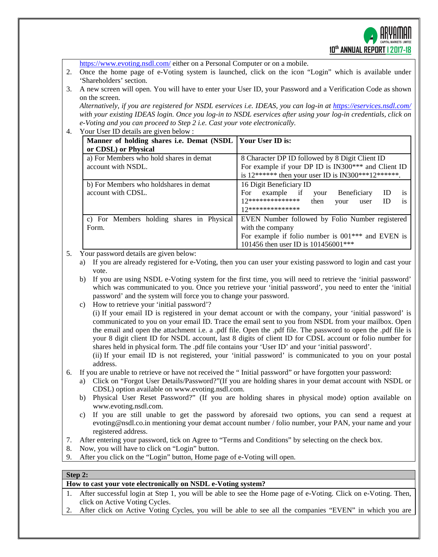

<https://www.evoting.nsdl.com/> either on a Personal Computer or on a mobile. 2. Once the home page of e-Voting system is launched, click on the icon "Login" which is available under 'Shareholders' section. 3. A new screen will open. You will have to enter your User ID, your Password and a Verification Code as shown on the screen. *Alternatively, if you are registered for NSDL eservices i.e. IDEAS, you can log-in at<https://eservices.nsdl.com/> with your existing IDEAS login. Once you log-in to NSDL eservices after using your log-in credentials, click on e-Voting and you can proceed to Step 2 i.e. Cast your vote electronically.* 4. Your User ID details are given below : **Manner of holding shares i.e. Demat (NSDL or CDSL) or Physical Your User ID is:** a) For Members who hold shares in demat account with NSDL. 8 Character DP ID followed by 8 Digit Client ID For example if your DP ID is IN300\*\*\* and Client ID is  $12******$  then your user ID is IN300\*\*\*12\*\*\*\*\*\*. b) For Members who holdshares in demat account with CDSL. 16 Digit Beneficiary ID For example if your Beneficiary ID is  $12**************************$  then your user ID is 12\*\*\*\*\*\*\*\*\*\*\*\*\*\* c) For Members holding shares in Physical Form. EVEN Number followed by Folio Number registered with the company For example if folio number is 001\*\*\* and EVEN is 101456 then user ID is 101456001\*\*\* 5. Your password details are given below: a) If you are already registered for e-Voting, then you can user your existing password to login and cast your vote. b) If you are using NSDL e-Voting system for the first time, you will need to retrieve the 'initial password' which was communicated to you. Once you retrieve your 'initial password', you need to enter the 'initial password' and the system will force you to change your password. c) How to retrieve your 'initial password'? (i) If your email ID is registered in your demat account or with the company, your 'initial password' is communicated to you on your email ID. Trace the email sent to you from NSDL from your mailbox. Open the email and open the attachment i.e. a .pdf file. Open the .pdf file. The password to open the .pdf file is your 8 digit client ID for NSDL account, last 8 digits of client ID for CDSL account or folio number for shares held in physical form. The .pdf file contains your 'User ID' and your 'initial password'. (ii) If your email ID is not registered, your 'initial password' is communicated to you on your postal address. 6. If you are unable to retrieve or have not received the " Initial password" or have forgotten your password: a) Click on ["Forgot User Details/Password?"](https://www.evoting.nsdl.com/eVotingWeb/commonhtmls/NewUser.jsp)(If you are holding shares in your demat account with NSDL or CDSL) option available on www.evoting.nsdl.com. b) [Physical User Reset Password?"](https://www.evoting.nsdl.com/eVotingWeb/commonhtmls/PhysicalUser.jsp) (If you are holding shares in physical mode) option available on [www.evoting.nsdl.com.](http://www.evoting.nsdl.com/) c) If you are still unable to get the password by aforesaid two options, you can send a request at [evoting@nsdl.co.in](mailto:evoting@nsdl.co.in) mentioning your demat account number / folio number, your PAN, your name and your registered address. 7. After entering your password, tick on Agree to "Terms and Conditions" by selecting on the check box. 8. Now, you will have to click on "Login" button. 9. After you click on the "Login" button, Home page of e-Voting will open.

## **Step 2:**

**How to cast your vote electronically on NSDL e-Voting system?**

- 1. After successful login at Step 1, you will be able to see the Home page of e-Voting. Click on e-Voting. Then, click on Active Voting Cycles.
- 2. After click on Active Voting Cycles, you will be able to see all the companies "EVEN" in which you are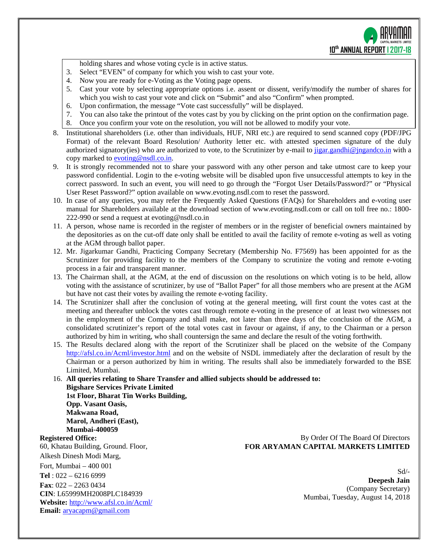holding shares and whose voting cycle is in active status.

- 3. Select "EVEN" of company for which you wish to cast your vote.
- 4. Now you are ready for e-Voting as the Voting page opens.
- 5. Cast your vote by selecting appropriate options i.e. assent or dissent, verify/modify the number of shares for which you wish to cast your vote and click on "Submit" and also "Confirm" when prompted.
- 6. Upon confirmation, the message "Vote cast successfully" will be displayed.
- 7. You can also take the printout of the votes cast by you by clicking on the print option on the confirmation page.
- 8. Once you confirm your vote on the resolution, you will not be allowed to modify your vote.
- 8. Institutional shareholders (i.e. other than individuals, HUF, NRI etc.) are required to send scanned copy (PDF/JPG Format) of the relevant Board Resolution/ Authority letter etc. with attested specimen signature of the duly authorized signatory(ies) who are authorized to vote, to the Scrutinizer by e-mail to [jigar.gandhi@jngandco.in](mailto:jigar.gandhi@jngandco.in) with a copy marked t[o evoting@nsdl.co.in.](mailto:evoting@nsdl.co.in)
- 9. It is strongly recommended not to share your password with any other person and take utmost care to keep your password confidential. Login to the e-voting website will be disabled upon five unsuccessful attempts to key in the correct password. In such an event, you will need to go through the ["Forgot User Details/Password?"](https://www.evoting.nsdl.com/eVotingWeb/commonhtmls/NewUser.jsp) or ["Physical](https://www.evoting.nsdl.com/eVotingWeb/commonhtmls/PhysicalUser.jsp)  [User Reset Password?"](https://www.evoting.nsdl.com/eVotingWeb/commonhtmls/PhysicalUser.jsp) option available on www.evoting.nsdl.com to reset the password.
- 10. In case of any queries, you may refer the Frequently Asked Questions (FAQs) for Shareholders and e-voting user manual for Shareholders available at the download section of [www.evoting.nsdl.com](http://www.evoting.nsdl.com/) or call on toll free no.: 1800- 222-990 or send a request at [evoting@nsdl.co.in](mailto:evoting@nsdl.co.in)
- 11. A person, whose name is recorded in the register of members or in the register of beneficial owners maintained by the depositories as on the cut-off date only shall be entitled to avail the facility of remote e-voting as well as voting at the AGM through ballot paper.
- 12. Mr. Jigarkumar Gandhi, Practicing Company Secretary (Membership No. F7569) has been appointed for as the Scrutinizer for providing facility to the members of the Company to scrutinize the voting and remote e-voting process in a fair and transparent manner.
- 13. The Chairman shall, at the AGM, at the end of discussion on the resolutions on which voting is to be held, allow voting with the assistance of scrutinizer, by use of "Ballot Paper" for all those members who are present at the AGM but have not cast their votes by availing the remote e-voting facility.
- 14. The Scrutinizer shall after the conclusion of voting at the general meeting, will first count the votes cast at the meeting and thereafter unblock the votes cast through remote e-voting in the presence of at least two witnesses not in the employment of the Company and shall make, not later than three days of the conclusion of the AGM, a consolidated scrutinizer's report of the total votes cast in favour or against, if any, to the Chairman or a person authorized by him in writing, who shall countersign the same and declare the result of the voting forthwith.
- 15. The Results declared along with the report of the Scrutinizer shall be placed on the website of the Company <http://afsl.co.in/Acml/investor.html> and on the website of NSDL immediately after the declaration of result by the Chairman or a person authorized by him in writing. The results shall also be immediately forwarded to the BSE Limited, Mumbai.
- 16. **All queries relating to Share Transfer and allied subjects should be addressed to: Bigshare Services Private Limited 1st Floor, Bharat Tin Works Building, Opp. Vasant Oasis, Makwana Road, Marol, Andheri (East), Mumbai-400059**

## **Registered Office:**

60, Khatau Building, Ground. Floor, Alkesh Dinesh Modi Marg, Fort, Mumbai – 400 001 **Tel** : 022 – 6216 6999 **Fax**: 022 – 2263 0434 **CIN**: L65999MH2008PLC184939 **Website:** <http://www.afsl.co.in/Acml/> **Email:** [aryacapm@gmail.com](mailto:aryacapm@gmail.com)

By Order Of The Board Of Directors **FOR ARYAMAN CAPITAL MARKETS LIMITED**

> Sd/- **Deepesh Jain** (Company Secretary) Mumbai, Tuesday, August 14, 2018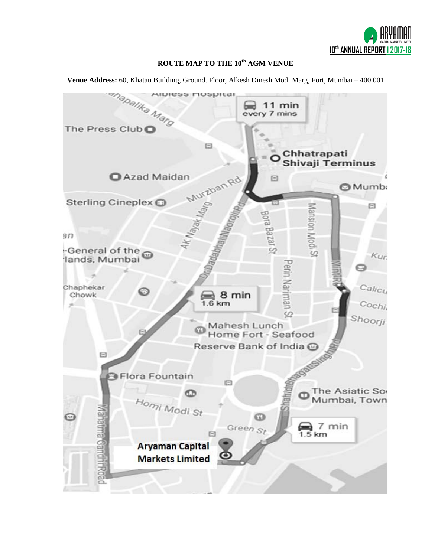**10th ANNUAL REPORT l 2017-18**

# **ROUTE MAP TO THE 10th AGM VENUE**

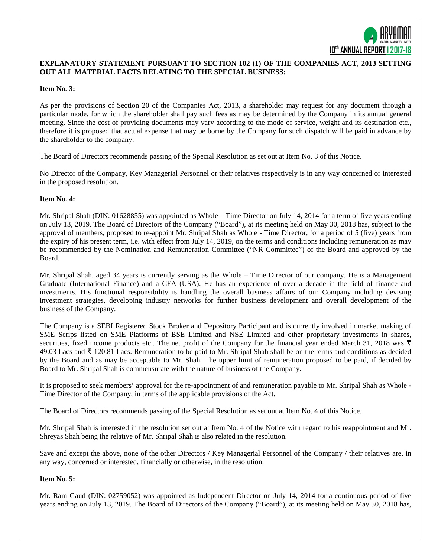

## **EXPLANATORY STATEMENT PURSUANT TO SECTION 102 (1) OF THE COMPANIES ACT, 2013 SETTING OUT ALL MATERIAL FACTS RELATING TO THE SPECIAL BUSINESS:**

#### **Item No. 3:**

As per the provisions of Section 20 of the Companies Act, 2013, a shareholder may request for any document through a particular mode, for which the shareholder shall pay such fees as may be determined by the Company in its annual general meeting. Since the cost of providing documents may vary according to the mode of service, weight and its destination etc., therefore it is proposed that actual expense that may be borne by the Company for such dispatch will be paid in advance by the shareholder to the company.

The Board of Directors recommends passing of the Special Resolution as set out at Item No. 3 of this Notice.

No Director of the Company, Key Managerial Personnel or their relatives respectively is in any way concerned or interested in the proposed resolution.

#### **Item No. 4:**

Mr. Shripal Shah (DIN: 01628855) was appointed as Whole – Time Director on July 14, 2014 for a term of five years ending on July 13, 2019. The Board of Directors of the Company ("Board"), at its meeting held on May 30, 2018 has, subject to the approval of members, proposed to re-appoint Mr. Shripal Shah as Whole - Time Director, for a period of 5 (five) years from the expiry of his present term, i.e. with effect from July 14, 2019, on the terms and conditions including remuneration as may be recommended by the Nomination and Remuneration Committee ("NR Committee") of the Board and approved by the Board.

Mr. Shripal Shah, aged 34 years is currently serving as the Whole – Time Director of our company. He is a Management Graduate (International Finance) and a CFA (USA). He has an experience of over a decade in the field of finance and investments. His functional responsibility is handling the overall business affairs of our Company including devising investment strategies, developing industry networks for further business development and overall development of the business of the Company.

The Company is a SEBI Registered Stock Broker and Depository Participant and is currently involved in market making of SME Scrips listed on SME Platforms of BSE Limited and NSE Limited and other proprietary investments in shares, securities, fixed income products etc.. The net profit of the Company for the financial year ended March 31, 2018 was  $\bar{\tau}$ 49.03 Lacs and  $\bar{\tau}$  120.81 Lacs. Remuneration to be paid to Mr. Shripal Shah shall be on the terms and conditions as decided by the Board and as may be acceptable to Mr. Shah. The upper limit of remuneration proposed to be paid, if decided by Board to Mr. Shripal Shah is commensurate with the nature of business of the Company.

It is proposed to seek members' approval for the re-appointment of and remuneration payable to Mr. Shripal Shah as Whole - Time Director of the Company, in terms of the applicable provisions of the Act.

The Board of Directors recommends passing of the Special Resolution as set out at Item No. 4 of this Notice.

Mr. Shripal Shah is interested in the resolution set out at Item No. 4 of the Notice with regard to his reappointment and Mr. Shreyas Shah being the relative of Mr. Shripal Shah is also related in the resolution.

Save and except the above, none of the other Directors / Key Managerial Personnel of the Company / their relatives are, in any way, concerned or interested, financially or otherwise, in the resolution.

#### **Item No. 5:**

Mr. Ram Gaud (DIN: 02759052) was appointed as Independent Director on July 14, 2014 for a continuous period of five years ending on July 13, 2019. The Board of Directors of the Company ("Board"), at its meeting held on May 30, 2018 has,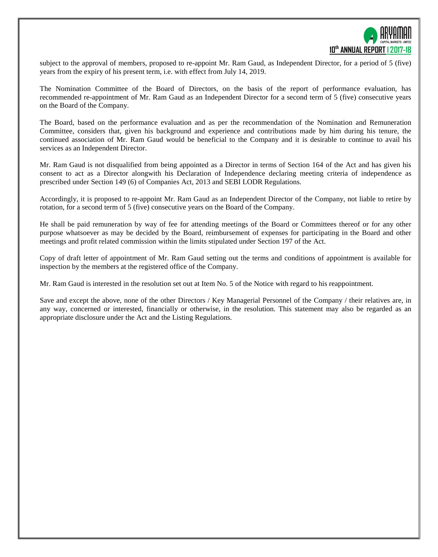

subject to the approval of members, proposed to re-appoint Mr. Ram Gaud, as Independent Director, for a period of 5 (five) years from the expiry of his present term, i.e. with effect from July 14, 2019.

The Nomination Committee of the Board of Directors, on the basis of the report of performance evaluation, has recommended re-appointment of Mr. Ram Gaud as an Independent Director for a second term of 5 (five) consecutive years on the Board of the Company.

The Board, based on the performance evaluation and as per the recommendation of the Nomination and Remuneration Committee, considers that, given his background and experience and contributions made by him during his tenure, the continued association of Mr. Ram Gaud would be beneficial to the Company and it is desirable to continue to avail his services as an Independent Director.

Mr. Ram Gaud is not disqualified from being appointed as a Director in terms of Section 164 of the Act and has given his consent to act as a Director alongwith his Declaration of Independence declaring meeting criteria of independence as prescribed under Section 149 (6) of Companies Act, 2013 and SEBI LODR Regulations.

Accordingly, it is proposed to re-appoint Mr. Ram Gaud as an Independent Director of the Company, not liable to retire by rotation, for a second term of 5 (five) consecutive years on the Board of the Company.

He shall be paid remuneration by way of fee for attending meetings of the Board or Committees thereof or for any other purpose whatsoever as may be decided by the Board, reimbursement of expenses for participating in the Board and other meetings and profit related commission within the limits stipulated under Section 197 of the Act.

Copy of draft letter of appointment of Mr. Ram Gaud setting out the terms and conditions of appointment is available for inspection by the members at the registered office of the Company.

Mr. Ram Gaud is interested in the resolution set out at Item No. 5 of the Notice with regard to his reappointment.

Save and except the above, none of the other Directors / Key Managerial Personnel of the Company / their relatives are, in any way, concerned or interested, financially or otherwise, in the resolution. This statement may also be regarded as an appropriate disclosure under the Act and the Listing Regulations.